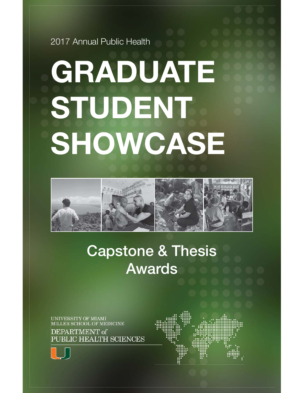2017 Annual Public Health

# **GRADUATE STUDENT SHOWCASE**



## **Capstone & Thesis Awards**

**UNIVERSITY OF MIAMI** MILLER SCHOOL OF MEDICINE

DEPARTMENT of PUBLIC HEALTH SCIENCES



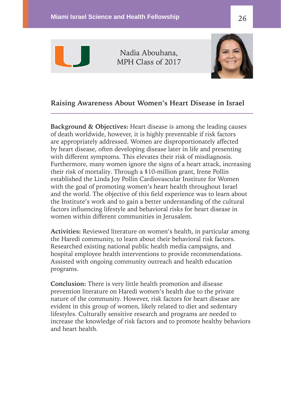

Nadia Abouhana, MPH Class of 2017



#### **Raising Awareness About Women's Heart Disease in Israel**

**Background & Objectives:** Heart disease is among the leading causes of death worldwide, however, it is highly preventable if risk factors are appropriately addressed. Women are disproportionately affected by heart disease, often developing disease later in life and presenting with different symptoms. This elevates their risk of misdiagnosis. Furthermore, many women ignore the signs of a heart attack, increasing their risk of mortality. Through a \$10-million grant, Irene Pollin established the Linda Joy Pollin Cardiovascular Institute for Women with the goal of promoting women's heart health throughout Israel and the world. The objective of this field experience was to learn about the Institute's work and to gain a better understanding of the cultural factors influencing lifestyle and behavioral risks for heart disease in women within different communities in Jerusalem.

Activities: Reviewed literature on women's health, in particular among the Haredi community, to learn about their behavioral risk factors. Researched existing national public health media campaigns, and hospital employee health interventions to provide recommendations. Assisted with ongoing community outreach and health education programs.

**Conclusion:** There is very little health promotion and disease prevention literature on Haredi women's health due to the private nature of the community. However, risk factors for heart disease are evident in this group of women, likely related to diet and sedentary lifestyles. Culturally sensitive research and programs are needed to increase the knowledge of risk factors and to promote healthy behaviors and heart health.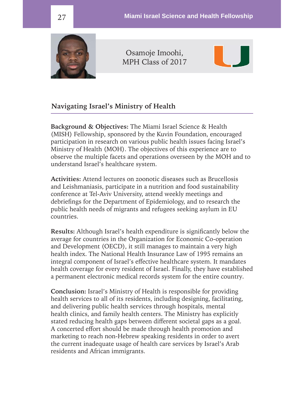

Osamoje Imoohi, MPH Class of 2017



#### **Navigating Israel's Ministry of Health**

**Background & Objectives:** The Miami Israel Science & Health (MISH) Fellowship, sponsored by the Kuvin Foundation, encouraged participation in research on various public health issues facing Israel's Ministry of Health (MOH). The objectives of this experience are to observe the multiple facets and operations overseen by the MOH and to understand Israel's healthcare system.

**Activities:** Attend lectures on zoonotic diseases such as Brucellosis and Leishmaniasis, participate in a nutrition and food sustainability conference at Tel-Aviv University, attend weekly meetings and debriefings for the Department of Epidemiology, and to research the public health needs of migrants and refugees seeking asylum in EU countries.

**Results:** Although Israel's health expenditure is significantly below the average for countries in the Organization for Economic Co-operation and Development (OECD), it still manages to maintain a very high health index. The National Health Insurance Law of 1995 remains an integral component of Israel's effective healthcare system. It mandates health coverage for every resident of Israel. Finally, they have established a permanent electronic medical records system for the entire country.

**Conclusion:** Israel's Ministry of Health is responsible for providing health services to all of its residents, including designing, facilitating, and delivering public health services through hospitals, mental health clinics, and family health centers. The Ministry has explicitly stated reducing health gaps between different societal gaps as a goal. A concerted effort should be made through health promotion and marketing to reach non-Hebrew speaking residents in order to avert the current inadequate usage of health care services by Israel's Arab residents and African immigrants.